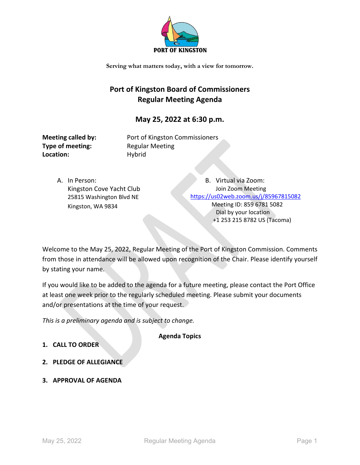

## **Port of Kingston Board of Commissioners Regular Meeting Agenda**

## **May 25, 2022 at 6:30 p.m.**

**Type of meeting:** Regular Meeting Location: Hybrid

**Meeting called by:** Port of Kingston Commissioners

A. In Person: Kingston Cove Yacht Club 25815 Washington Blvd NE Kingston, WA 9834

B. Virtual via Zoom: Join Zoom Meeting <https://us02web.zoom.us/j/85967815082> Meeting ID: 859 6781 5082 Dial by your location +1 253 215 8782 US (Tacoma)

Welcome to the May 25, 2022, Regular Meeting of the Port of Kingston Commission. Comments from those in attendance will be allowed upon recognition of the Chair. Please identify yourself by stating your name.

If you would like to be added to the agenda for a future meeting, please contact the Port Office at least one week prior to the regularly scheduled meeting. Please submit your documents and/or presentations at the time of your request.

*This is a preliminary agenda and is subject to change.*

**Agenda Topics**

- **1. CALL TO ORDER**
- **2. PLEDGE OF ALLEGIANCE**
- **3. APPROVAL OF AGENDA**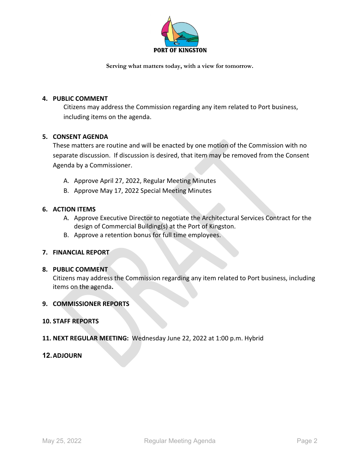

### **4. PUBLIC COMMENT**

Citizens may address the Commission regarding any item related to Port business, including items on the agenda.

### **5. CONSENT AGENDA**

These matters are routine and will be enacted by one motion of the Commission with no separate discussion. If discussion is desired, that item may be removed from the Consent Agenda by a Commissioner.

- A. Approve April 27, 2022, Regular Meeting Minutes
- B. Approve May 17, 2022 Special Meeting Minutes

### **6. ACTION ITEMS**

- A. Approve Executive Director to negotiate the Architectural Services Contract for the design of Commercial Building(s) at the Port of Kingston.
- B. Approve a retention bonus for full time employees.

### **7. FINANCIAL REPORT**

### **8. PUBLIC COMMENT**

Citizens may address the Commission regarding any item related to Port business, including items on the agenda**.**

### **9. COMMISSIONER REPORTS**

### **10. STAFF REPORTS**

**11. NEXT REGULAR MEETING:** Wednesday June 22, 2022 at 1:00 p.m. Hybrid

### **12.ADJOURN**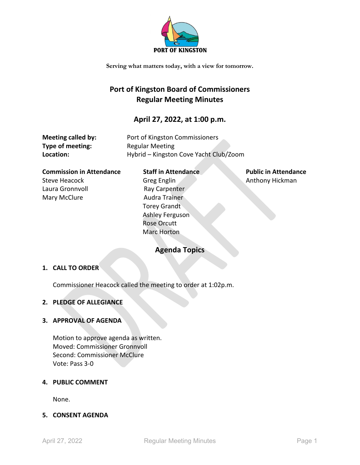

## **Port of Kingston Board of Commissioners Regular Meeting Minutes**

## **April 27, 2022, at 1:00 p.m.**

| Meeting called by: | Port of Kingston Commissioners         |
|--------------------|----------------------------------------|
| Type of meeting:   | <b>Regular Meeting</b>                 |
| Location:          | Hybrid - Kingston Cove Yacht Club/Zoom |

**Commission in Attendance** Staff in Attendance Public in Attendance Steve Heacock Greg Englin Greg Englin Anthony Hickman Laura Gronnvoll **Ray Carpenter** Mary McClure **Audra Trainer** 

# Torey Grandt Ashley Ferguson Rose Orcutt Marc Horton

## **Agenda Topics**

### **1. CALL TO ORDER**

Commissioner Heacock called the meeting to order at 1:02p.m.

### **2. PLEDGE OF ALLEGIANCE**

### **3. APPROVAL OF AGENDA**

Motion to approve agenda as written. Moved: Commissioner Gronnvoll Second: Commissioner McClure Vote: Pass 3-0

### **4. PUBLIC COMMENT**

None.

### **5. CONSENT AGENDA**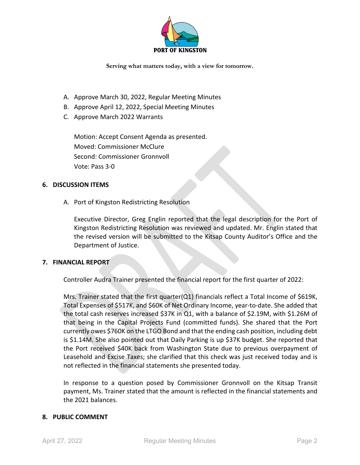

- A. Approve March 30, 2022, Regular Meeting Minutes
- B. Approve April 12, 2022, Special Meeting Minutes
- C. Approve March 2022 Warrants

Motion: Accept Consent Agenda as presented. Moved: Commissioner McClure Second: Commissioner Gronnvoll Vote: Pass 3-0

### **6. DISCUSSION ITEMS**

A. Port of Kingston Redistricting Resolution

Executive Director, Greg Englin reported that the legal description for the Port of Kingston Redistricting Resolution was reviewed and updated. Mr. Englin stated that the revised version will be submitted to the Kitsap County Auditor's Office and the Department of Justice.

### **7. FINANCIAL REPORT**

Controller Audra Trainer presented the financial report for the first quarter of 2022:

Mrs. Trainer stated that the first quarter(Q1) financials reflect a Total Income of \$619K, Total Expenses of \$517K, and \$60K of Net Ordinary Income, year-to-date. She added that the total cash reserves increased \$37K in Q1, with a balance of \$2.19M, with \$1.26M of that being in the Capital Projects Fund (committed funds). She shared that the Port currently owes \$760K on the LTGO Bond and that the ending cash position, including debt is \$1.14M. She also pointed out that Daily Parking is up \$37K budget. She reported that the Port received \$40K back from Washington State due to previous overpayment of Leasehold and Excise Taxes; she clarified that this check was just received today and is not reflected in the financial statements she presented today.

In response to a question posed by Commissioner Gronnvoll on the Kitsap Transit payment, Ms. Trainer stated that the amount is reflected in the financial statements and the 2021 balances.

### **8. PUBLIC COMMENT**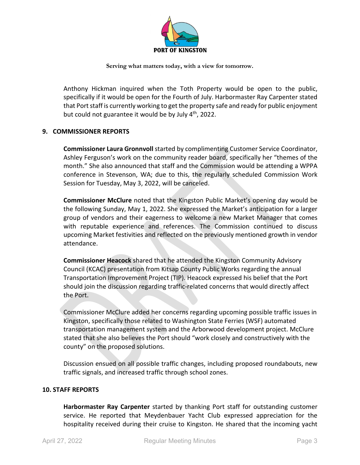

Anthony Hickman inquired when the Toth Property would be open to the public, specifically if it would be open for the Fourth of July. Harbormaster Ray Carpenter stated that Port staff is currently working to get the property safe and ready for public enjoyment but could not guarantee it would be by July  $4<sup>th</sup>$ , 2022.

### **9. COMMISSIONER REPORTS**

**Commissioner Laura Gronnvoll** started by complimenting Customer Service Coordinator, Ashley Ferguson's work on the community reader board, specifically her "themes of the month." She also announced that staff and the Commission would be attending a WPPA conference in Stevenson, WA; due to this, the regularly scheduled Commission Work Session for Tuesday, May 3, 2022, will be canceled.

**Commissioner McClure** noted that the Kingston Public Market's opening day would be the following Sunday, May 1, 2022. She expressed the Market's anticipation for a larger group of vendors and their eagerness to welcome a new Market Manager that comes with reputable experience and references. The Commission continued to discuss upcoming Market festivities and reflected on the previously mentioned growth in vendor attendance.

**Commissioner Heacock** shared that he attended the Kingston Community Advisory Council (KCAC) presentation from Kitsap County Public Works regarding the annual Transportation Improvement Project (TIP). Heacock expressed his belief that the Port should join the discussion regarding traffic-related concerns that would directly affect the Port.

Commissioner McClure added her concerns regarding upcoming possible traffic issues in Kingston, specifically those related to Washington State Ferries (WSF) automated transportation management system and the Arborwood development project. McClure stated that she also believes the Port should "work closely and constructively with the county" on the proposed solutions.

Discussion ensued on all possible traffic changes, including proposed roundabouts, new traffic signals, and increased traffic through school zones.

### **10. STAFF REPORTS**

**Harbormaster Ray Carpenter** started by thanking Port staff for outstanding customer service. He reported that Meydenbauer Yacht Club expressed appreciation for the hospitality received during their cruise to Kingston. He shared that the incoming yacht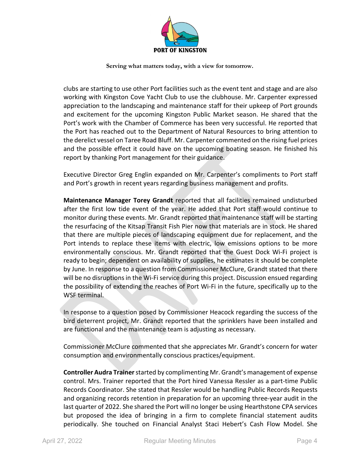

clubs are starting to use other Port facilities such as the event tent and stage and are also working with Kingston Cove Yacht Club to use the clubhouse. Mr. Carpenter expressed appreciation to the landscaping and maintenance staff for their upkeep of Port grounds and excitement for the upcoming Kingston Public Market season. He shared that the Port's work with the Chamber of Commerce has been very successful. He reported that the Port has reached out to the Department of Natural Resources to bring attention to the derelict vessel on Taree Road Bluff. Mr. Carpenter commented on the rising fuel prices and the possible effect it could have on the upcoming boating season. He finished his report by thanking Port management for their guidance.

Executive Director Greg Englin expanded on Mr. Carpenter's compliments to Port staff and Port's growth in recent years regarding business management and profits.

**Maintenance Manager Torey Grandt** reported that all facilities remained undisturbed after the first low tide event of the year. He added that Port staff would continue to monitor during these events. Mr. Grandt reported that maintenance staff will be starting the resurfacing of the Kitsap Transit Fish Pier now that materials are in stock. He shared that there are multiple pieces of landscaping equipment due for replacement, and the Port intends to replace these items with electric, low emissions options to be more environmentally conscious. Mr. Grandt reported that the Guest Dock Wi-Fi project is ready to begin; dependent on availability of supplies, he estimates it should be complete by June. In response to a question from Commissioner McClure, Grandt stated that there will be no disruptions in the Wi-Fi service during this project. Discussion ensued regarding the possibility of extending the reaches of Port Wi-Fi in the future, specifically up to the WSF terminal.

In response to a question posed by Commissioner Heacock regarding the success of the bird deterrent project, Mr. Grandt reported that the sprinklers have been installed and are functional and the maintenance team is adjusting as necessary.

Commissioner McClure commented that she appreciates Mr. Grandt's concern for water consumption and environmentally conscious practices/equipment.

**Controller Audra Trainer** started by complimenting Mr. Grandt's management of expense control. Mrs. Trainer reported that the Port hired Vanessa Ressler as a part-time Public Records Coordinator. She stated that Ressler would be handling Public Records Requests and organizing records retention in preparation for an upcoming three-year audit in the last quarter of 2022. She shared the Port will no longer be using Hearthstone CPA services but proposed the idea of bringing in a firm to complete financial statement audits periodically. She touched on Financial Analyst Staci Hebert's Cash Flow Model. She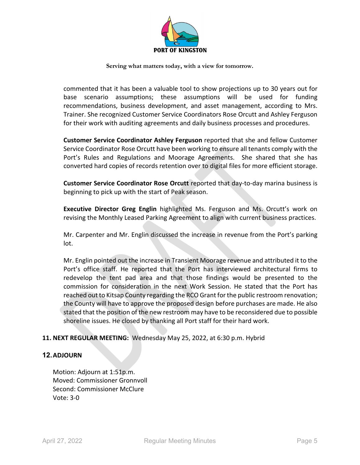

commented that it has been a valuable tool to show projections up to 30 years out for base scenario assumptions; these assumptions will be used for funding recommendations, business development, and asset management, according to Mrs. Trainer. She recognized Customer Service Coordinators Rose Orcutt and Ashley Ferguson for their work with auditing agreements and daily business processes and procedures.

**Customer Service Coordinator Ashley Ferguson** reported that she and fellow Customer Service Coordinator Rose Orcutt have been working to ensure all tenants comply with the Port's Rules and Regulations and Moorage Agreements. She shared that she has converted hard copies of records retention over to digital files for more efficient storage.

**Customer Service Coordinator Rose Orcutt** reported that day-to-day marina business is beginning to pick up with the start of Peak season.

**Executive Director Greg Englin** highlighted Ms. Ferguson and Ms. Orcutt's work on revising the Monthly Leased Parking Agreement to align with current business practices.

Mr. Carpenter and Mr. Englin discussed the increase in revenue from the Port's parking lot.

Mr. Englin pointed out the increase in Transient Moorage revenue and attributed it to the Port's office staff. He reported that the Port has interviewed architectural firms to redevelop the tent pad area and that those findings would be presented to the commission for consideration in the next Work Session. He stated that the Port has reached out to Kitsap County regarding the RCO Grant for the public restroom renovation; the County will have to approve the proposed design before purchases are made. He also stated that the position of the new restroom may have to be reconsidered due to possible shoreline issues. He closed by thanking all Port staff for their hard work.

### **11. NEXT REGULAR MEETING:** Wednesday May 25, 2022, at 6:30 p.m. Hybrid

### **12.ADJOURN**

Motion: Adjourn at 1:51p.m. Moved: Commissioner Gronnvoll Second: Commissioner McClure Vote: 3-0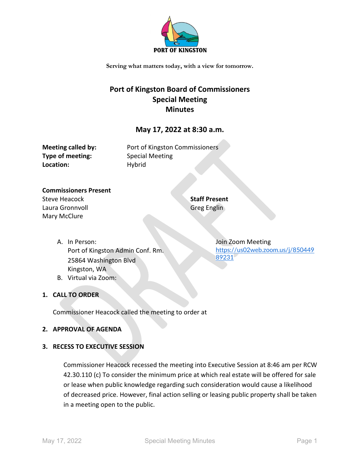

## **Port of Kingston Board of Commissioners Special Meeting Minutes**

### **May 17, 2022 at 8:30 a.m.**

| <b>Meeting called by:</b> |
|---------------------------|
| Type of meeting:          |
| Location:                 |

Port of Kingston Commissioners **Type of meeting:** Special Meeting **Location:** Hybrid

### **Commissioners Present** Steve Heacock Laura Gronnvoll Mary McClure

**Staff Present** Greg Englin

A. In Person: Port of Kingston Admin Conf. Rm. 25864 Washington Blvd Kingston, WA B. Virtual via Zoom:

### **1. CALL TO ORDER**

Commissioner Heacock called the meeting to order at

### **2. APPROVAL OF AGENDA**

### **3. RECESS TO EXECUTIVE SESSION**

Commissioner Heacock recessed the meeting into Executive Session at 8:46 am per RCW 42.30.110 (c) To consider the minimum price at which real estate will be offered for sale or lease when public knowledge regarding such consideration would cause a likelihood of decreased price. However, final action selling or leasing public property shall be taken in a meeting open to the public.

Join Zoom Meeting [https://us02web.zoom.us/j/850449](https://us02web.zoom.us/j/85044989231) [89231](https://us02web.zoom.us/j/85044989231)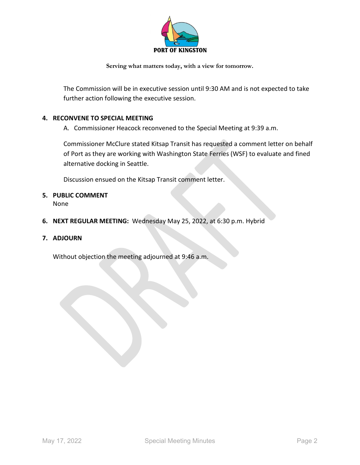

The Commission will be in executive session until 9:30 AM and is not expected to take further action following the executive session.

### **4. RECONVENE TO SPECIAL MEETING**

A. Commissioner Heacock reconvened to the Special Meeting at 9:39 a.m.

Commissioner McClure stated Kitsap Transit has requested a comment letter on behalf of Port as they are working with Washington State Ferries (WSF) to evaluate and fined alternative docking in Seattle.

Discussion ensued on the Kitsap Transit comment letter.

**5. PUBLIC COMMENT**

None

- **6. NEXT REGULAR MEETING:** Wednesday May 25, 2022, at 6:30 p.m. Hybrid
- **7. ADJOURN**

Without objection the meeting adjourned at 9:46 a.m.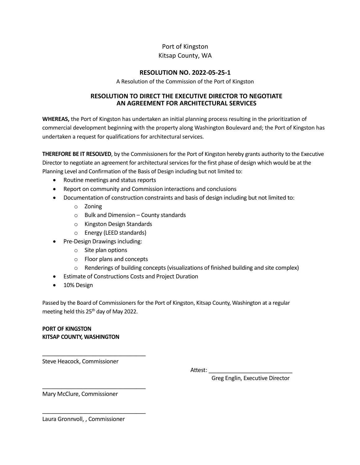### Port of Kingston

### Kitsap County, WA

### **RESOLUTION NO. 2022-05-25-1**

A Resolution of the Commission of the Port of Kingston

### **RESOLUTION TO DIRECT THE EXECUTIVE DIRECTOR TO NEGOTIATE AN AGREEMENT FOR ARCHITECTURAL SERVICES**

**WHEREAS,** the Port of Kingston has undertaken an initial planning process resulting in the prioritization of commercial development beginning with the property along Washington Boulevard and; the Port of Kingston has undertaken a request for qualifications for architectural services.

**THEREFORE BE IT RESOLVED**, by the Commissioners for the Port of Kingston hereby grants authority to the Executive Director to negotiate an agreement for architectural services for the first phase of design which would be at the Planning Level and Confirmation of the Basis of Design including but not limited to:

- Routine meetings and status reports
- Report on community and Commission interactions and conclusions
- Documentation of construction constraints and basis of design including but not limited to:
	- o Zoning
	- $\circ$  Bulk and Dimension County standards
	- o Kingston Design Standards
	- o Energy (LEED standards)
- Pre-Design Drawings including:
	- o Site plan options
	- o Floor plans and concepts
	- $\circ$  Renderings of building concepts (visualizations of finished building and site complex)
- Estimate of Constructions Costs and Project Duration
- 10% Design

Passed by the Board of Commissioners for the Port of Kingston, Kitsap County, Washington at a regular meeting held this 25th day of May 2022.

### **PORT OF KINGSTON KITSAP COUNTY, WASHINGTON**

Steve Heacock, Commissioner

\_\_\_\_\_\_\_\_\_\_\_\_\_\_\_\_\_\_\_\_\_\_\_\_\_\_\_\_\_\_\_\_\_

\_\_\_\_\_\_\_\_\_\_\_\_\_\_\_\_\_\_\_\_\_\_\_\_\_\_\_\_\_\_\_\_\_

\_\_\_\_\_\_\_\_\_\_\_\_\_\_\_\_\_\_\_\_\_\_\_\_\_\_\_\_\_\_\_\_\_

Attest:

Greg Englin, Executive Director

Mary McClure, Commissioner

Laura Gronnvoll, , Commissioner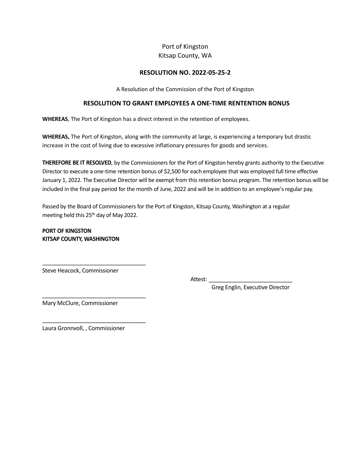### Port of Kingston Kitsap County, WA

### **RESOLUTION NO. 2022-05-25-2**

A Resolution of the Commission of the Port of Kingston

### **RESOLUTION TO GRANT EMPLOYEES A ONE-TIME RENTENTION BONUS**

**WHEREAS**, The Port of Kingston has a direct interest in the retention of employees.

**WHEREAS,** The Port of Kingston, along with the community at large, is experiencing a temporary but drastic increase in the cost of living due to excessive inflationary pressures for goods and services.

**THEREFORE BE IT RESOLVED**, by the Commissioners for the Port of Kingston hereby grants authority to the Executive Director to execute a one-time retention bonus of \$2,500 for each employee that was employed full time effective January 1, 2022. The Executive Director will be exempt from this retention bonus program. The retention bonus will be included in the final pay period for the month of June, 2022 and will be in addition to an employee's regular pay.

Passed by the Board of Commissioners for the Port of Kingston, Kitsap County, Washington at a regular meeting held this 25th day of May 2022.

**PORT OF KINGSTON KITSAP COUNTY, WASHINGTON**

Steve Heacock, Commissioner

\_\_\_\_\_\_\_\_\_\_\_\_\_\_\_\_\_\_\_\_\_\_\_\_\_\_\_\_\_\_\_\_\_

\_\_\_\_\_\_\_\_\_\_\_\_\_\_\_\_\_\_\_\_\_\_\_\_\_\_\_\_\_\_\_\_\_

\_\_\_\_\_\_\_\_\_\_\_\_\_\_\_\_\_\_\_\_\_\_\_\_\_\_\_\_\_\_\_\_\_

Attest: \_

Greg Englin, Executive Director

Mary McClure, Commissioner

Laura Gronnvoll, , Commissioner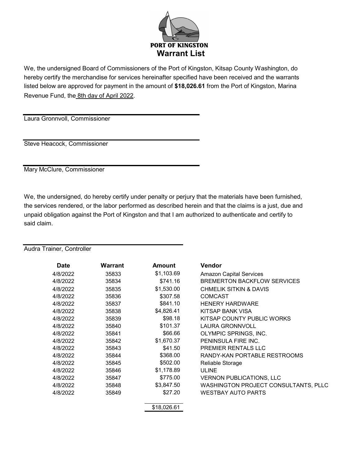

We, the undersigned Board of Commissioners of the Port of Kingston, Kitsap County Washington, do hereby certify the merchandise for services hereinafter specified have been received and the warrants listed below are approved for payment in the amount of **\$18,026.61** from the Port of Kingston, Marina Revenue Fund, the 8th day of April 2022.

Laura Gronnvoll, Commissioner

Steve Heacock, Commissioner

Mary McClure, Commissioner

We, the undersigned, do hereby certify under penalty or perjury that the materials have been furnished, the services rendered, or the labor performed as described herein and that the claims is a just, due and unpaid obligation against the Port of Kingston and that I am authorized to authenticate and certify to said claim.

Audra Trainer, Controller

| Date     | Warrant | <b>Amount</b> | <b>Vendor</b>                               |
|----------|---------|---------------|---------------------------------------------|
| 4/8/2022 | 35833   | \$1,103.69    | <b>Amazon Capital Services</b>              |
| 4/8/2022 | 35834   | \$741.16      | <b>BREMERTON BACKFLOW SERVICES</b>          |
| 4/8/2022 | 35835   | \$1,530.00    | <b>CHMELIK SITKIN &amp; DAVIS</b>           |
| 4/8/2022 | 35836   | \$307.58      | <b>COMCAST</b>                              |
| 4/8/2022 | 35837   | \$841.10      | <b>HENERY HARDWARE</b>                      |
| 4/8/2022 | 35838   | \$4,826.41    | <b>KITSAP BANK VISA</b>                     |
| 4/8/2022 | 35839   | \$98.18       | KITSAP COUNTY PUBLIC WORKS                  |
| 4/8/2022 | 35840   | \$101.37      | <b>LAURA GRONNVOLL</b>                      |
| 4/8/2022 | 35841   | \$66.66       | OLYMPIC SPRINGS, INC.                       |
| 4/8/2022 | 35842   | \$1,670.37    | PENINSULA FIRE INC.                         |
| 4/8/2022 | 35843   | \$41.50       | PREMIER RENTALS LLC                         |
| 4/8/2022 | 35844   | \$368.00      | RANDY-KAN PORTABLE RESTROOMS                |
| 4/8/2022 | 35845   | \$502.00      | Reliable Storage                            |
| 4/8/2022 | 35846   | \$1,178.89    | <b>ULINE</b>                                |
| 4/8/2022 | 35847   | \$775.00      | <b>VERNON PUBLICATIONS, LLC</b>             |
| 4/8/2022 | 35848   | \$3,847.50    | <b>WASHINGTON PROJECT CONSULTANTS, PLLC</b> |
| 4/8/2022 | 35849   | \$27.20       | <b>WESTBAY AUTO PARTS</b>                   |
|          |         | \$18,026.61   |                                             |
|          |         |               |                                             |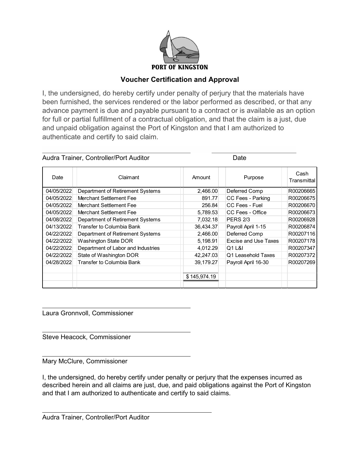

## **Voucher Certification and Approval**

I, the undersigned, do hereby certify under penalty of perjury that the materials have been furnished, the services rendered or the labor performed as described, or that any advance payment is due and payable pursuant to a contract or is available as an option for full or partial fulfillment of a contractual obligation, and that the claim is a just, due and unpaid obligation against the Port of Kingston and that I am authorized to authenticate and certify to said claim.

| Audra Trainer, Controller/Port Auditor |                                    |              | Date                 |                     |
|----------------------------------------|------------------------------------|--------------|----------------------|---------------------|
| Date                                   | Claimant                           | Amount       | Purpose              | Cash<br>Transmittal |
| 04/05/2022                             | Department of Retirement Systems   | 2,466.00     | Deferred Comp        | R00206665           |
| 04/05/2022                             | Merchant Settlement Fee            | 891.77       | CC Fees - Parking    | R00206675           |
| 04/05/2022                             | Merchant Settlement Fee            | 256.84       | CC Fees - Fuel       | R00206670           |
| 04/05/2022                             | Merchant Settlement Fee            | 5,789.53     | CC Fees - Office     | R00206673           |
| 04/08/2022                             | Department of Retirement Systems   | 7,032.18     | <b>PERS 2/3</b>      | R00206928           |
| 04/13/2022                             | Transfer to Columbia Bank          | 36,434.37    | Payroll April 1-15   | R00206874           |
| 04/22/2022                             | Department of Retirement Systems   | 2,466.00     | Deferred Comp        | R00207116           |
| 04/22/2022                             | <b>Washington State DOR</b>        | 5,198.91     | Excise and Use Taxes | R00207178           |
| 04/22/2022                             | Department of Labor and Industries | 4,012.29     | Q1 L&I               | R00207347           |
| 04/22/2022                             | State of Washington DOR            | 42,247.03    | Q1 Leasehold Taxes   | R00207372           |
| 04/28/2022                             | Transfer to Columbia Bank          | 39,179.27    | Payroll April 16-30  | R00207269           |
|                                        |                                    | \$145,974.19 |                      |                     |
|                                        |                                    |              |                      |                     |

Laura Gronnvoll, Commissioner

Steve Heacock, Commissioner

Mary McClure, Commissioner

I, the undersigned, do hereby certify under penalty or perjury that the expenses incurred as described herein and all claims are just, due, and paid obligations against the Port of Kingston and that I am authorized to authenticate and certify to said claims.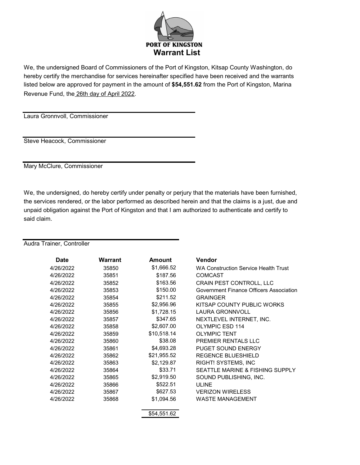

We, the undersigned Board of Commissioners of the Port of Kingston, Kitsap County Washington, do hereby certify the merchandise for services hereinafter specified have been received and the warrants listed below are approved for payment in the amount of **\$54,551.62** from the Port of Kingston, Marina Revenue Fund, the 26th day of April 2022.

Laura Gronnvoll, Commissioner

Steve Heacock, Commissioner

Mary McClure, Commissioner

We, the undersigned, do hereby certify under penalty or perjury that the materials have been furnished, the services rendered, or the labor performed as described herein and that the claims is a just, due and unpaid obligation against the Port of Kingston and that I am authorized to authenticate and certify to said claim.

### Audra Trainer, Controller

| Date      | <b>Warrant</b> | <b>Amount</b> | Vendor                                      |
|-----------|----------------|---------------|---------------------------------------------|
| 4/26/2022 | 35850          | \$1,666.52    | <b>WA Construction Service Health Trust</b> |
| 4/26/2022 | 35851          | \$187.56      | <b>COMCAST</b>                              |
| 4/26/2022 | 35852          | \$163.56      | CRAIN PEST CONTROLL, LLC                    |
| 4/26/2022 | 35853          | \$150.00      | Government Finance Officers Association     |
| 4/26/2022 | 35854          | \$211.52      | <b>GRAINGER</b>                             |
| 4/26/2022 | 35855          | \$2,956.96    | KITSAP COUNTY PUBLIC WORKS                  |
| 4/26/2022 | 35856          | \$1,728.15    | <b>LAURA GRONNVOLL</b>                      |
| 4/26/2022 | 35857          | \$347.65      | NEXTLEVEL INTERNET, INC.                    |
| 4/26/2022 | 35858          | \$2,607.00    | <b>OLYMPIC ESD 114</b>                      |
| 4/26/2022 | 35859          | \$10,518.14   | <b>OLYMPIC TENT</b>                         |
| 4/26/2022 | 35860          | \$38.08       | PREMIER RENTALS LLC                         |
| 4/26/2022 | 35861          | \$4,693.28    | <b>PUGET SOUND ENERGY</b>                   |
| 4/26/2022 | 35862          | \$21,955.52   | <b>REGENCE BLUESHIELD</b>                   |
| 4/26/2022 | 35863          | \$2,129.87    | <b>RIGHT! SYSTEMS, INC</b>                  |
| 4/26/2022 | 35864          | \$33.71       | SEATTLE MARINE & FISHING SUPPLY             |
| 4/26/2022 | 35865          | \$2,919.50    | SOUND PUBLISHING, INC.                      |
| 4/26/2022 | 35866          | \$522.51      | ULINE                                       |
| 4/26/2022 | 35867          | \$627.53      | <b>VERIZON WIRELESS</b>                     |
| 4/26/2022 | 35868          | \$1,094.56    | <b>WASTE MANAGEMENT</b>                     |
|           |                |               |                                             |
|           |                | \$54,551.62   |                                             |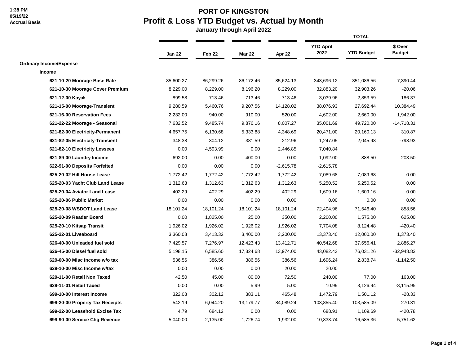## **PORT OF KINGSTON Profit & Loss YTD Budget vs. Actual by Month**

|                                 |           |           |               |             | <b>TOTAL</b>             |                   |                          |  |
|---------------------------------|-----------|-----------|---------------|-------------|--------------------------|-------------------|--------------------------|--|
|                                 | Jan 22    | Feb 22    | <b>Mar 22</b> | Apr 22      | <b>YTD April</b><br>2022 | <b>YTD Budget</b> | \$ Over<br><b>Budget</b> |  |
| <b>Ordinary Income/Expense</b>  |           |           |               |             |                          |                   |                          |  |
| Income                          |           |           |               |             |                          |                   |                          |  |
| 621-10-20 Moorage Base Rate     | 85,600.27 | 86,299.26 | 86,172.46     | 85,624.13   | 343,696.12               | 351,086.56        | $-7,390.44$              |  |
| 621-10-30 Moorage Cover Premium | 8,229.00  | 8,229.00  | 8,196.20      | 8,229.00    | 32,883.20                | 32,903.26         | $-20.06$                 |  |
| 621-12-00 Kayak                 | 899.58    | 713.46    | 713.46        | 713.46      | 3,039.96                 | 2,853.59          | 186.37                   |  |
| 621-15-00 Moorage-Transient     | 9,280.59  | 5,460.76  | 9,207.56      | 14,128.02   | 38,076.93                | 27,692.44         | 10,384.49                |  |
| 621-16-00 Reservation Fees      | 2,232.00  | 940.00    | 910.00        | 520.00      | 4,602.00                 | 2,660.00          | 1,942.00                 |  |
| 621-22-22 Moorage - Seasonal    | 7,632.52  | 9,485.74  | 9,876.16      | 8,007.27    | 35,001.69                | 49,720.00         | $-14,718.31$             |  |
| 621-82-00 Electricity-Permanent | 4,657.75  | 6,130.68  | 5,333.88      | 4,348.69    | 20,471.00                | 20,160.13         | 310.87                   |  |
| 621-82-05 Electricity-Transient | 348.38    | 304.12    | 381.59        | 212.96      | 1,247.05                 | 2,045.98          | $-798.93$                |  |
| 621-82-10 Electricity Lessees   | 0.00      | 4,593.99  | 0.00          | 2,446.85    | 7,040.84                 |                   |                          |  |
| 621-89-00 Laundry Income        | 692.00    | 0.00      | 400.00        | 0.00        | 1,092.00                 | 888.50            | 203.50                   |  |
| 622-91-00 Deposits Forfeited    | 0.00      | 0.00      | 0.00          | $-2,615.78$ | $-2,615.78$              |                   |                          |  |
| 625-20-02 Hill House Lease      | 1,772.42  | 1,772.42  | 1,772.42      | 1,772.42    | 7,089.68                 | 7,089.68          | 0.00                     |  |
| 625-20-03 Yacht Club Land Lease | 1,312.63  | 1,312.63  | 1,312.63      | 1,312.63    | 5,250.52                 | 5,250.52          | 0.00                     |  |
| 625-20-04 Aviator Land Lease    | 402.29    | 402.29    | 402.29        | 402.29      | 1,609.16                 | 1,609.16          | 0.00                     |  |
| 625-20-06 Public Market         | 0.00      | 0.00      | 0.00          | 0.00        | 0.00                     | 0.00              | 0.00                     |  |
| 625-20-08 WSDOT Land Lease      | 18,101.24 | 18,101.24 | 18,101.24     | 18,101.24   | 72,404.96                | 71,546.40         | 858.56                   |  |
| 625-20-09 Reader Board          | 0.00      | 1,825.00  | 25.00         | 350.00      | 2,200.00                 | 1,575.00          | 625.00                   |  |
| 625-20-10 Kitsap Transit        | 1,926.02  | 1,926.02  | 1,926.02      | 1,926.02    | 7,704.08                 | 8,124.48          | $-420.40$                |  |
| 625-22-01 Liveaboard            | 3,360.08  | 3,413.32  | 3,400.00      | 3,200.00    | 13,373.40                | 12,000.00         | 1,373.40                 |  |
| 626-40-00 Unleaded fuel sold    | 7,429.57  | 7,276.97  | 12,423.43     | 13,412.71   | 40,542.68                | 37,656.41         | 2,886.27                 |  |
| 626-45-00 Diesel fuel sold      | 5,198.15  | 6,585.60  | 17,324.68     | 13,974.00   | 43,082.43                | 76,031.26         | $-32,948.83$             |  |
| 629-00-00 Misc Income w/o tax   | 536.56    | 386.56    | 386.56        | 386.56      | 1,696.24                 | 2,838.74          | $-1,142.50$              |  |
| 629-10-00 Misc Income w/tax     | 0.00      | 0.00      | 0.00          | 20.00       | 20.00                    |                   |                          |  |
| 629-11-00 Retail Non Taxed      | 42.50     | 45.00     | 80.00         | 72.50       | 240.00                   | 77.00             | 163.00                   |  |
| 629-11-01 Retail Taxed          | 0.00      | 0.00      | 5.99          | 5.00        | 10.99                    | 3,126.94          | $-3,115.95$              |  |
| 699-10-00 Interest Income       | 322.08    | 302.12    | 383.11        | 465.48      | 1,472.79                 | 1,501.12          | $-28.33$                 |  |
| 699-20-00 Property Tax Receipts | 542.19    | 6,044.20  | 13,179.77     | 84,089.24   | 103,855.40               | 103,585.09        | 270.31                   |  |
| 699-22-00 Leasehold Excise Tax  | 4.79      | 684.12    | 0.00          | 0.00        | 688.91                   | 1,109.69          | $-420.78$                |  |
| 699-90-00 Service Chg Revenue   | 5,040.00  | 2,135.00  | 1,726.74      | 1,932.00    | 10,833.74                | 16,585.36         | $-5,751.62$              |  |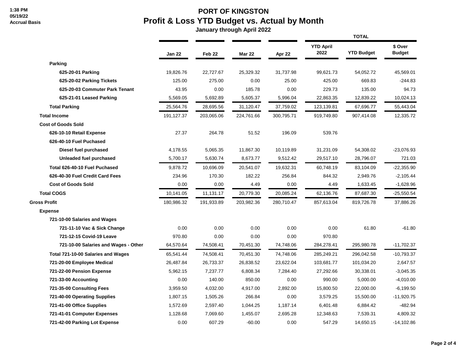## **PORT OF KINGSTON Profit & Loss YTD Budget vs. Actual by Month**

|                                      |               |                   |               |            | <b>TOTAL</b>             |                   |                          |  |
|--------------------------------------|---------------|-------------------|---------------|------------|--------------------------|-------------------|--------------------------|--|
|                                      | <b>Jan 22</b> | Feb <sub>22</sub> | <b>Mar 22</b> | Apr 22     | <b>YTD April</b><br>2022 | <b>YTD Budget</b> | \$ Over<br><b>Budget</b> |  |
| Parking                              |               |                   |               |            |                          |                   |                          |  |
| 625-20-01 Parking                    | 19,826.76     | 22,727.67         | 25,329.32     | 31,737.98  | 99,621.73                | 54,052.72         | 45,569.01                |  |
| 625-20-02 Parking Tickets            | 125.00        | 275.00            | 0.00          | 25.00      | 425.00                   | 669.83            | $-244.83$                |  |
| 625-20-03 Commuter Park Tenant       | 43.95         | 0.00              | 185.78        | 0.00       | 229.73                   | 135.00            | 94.73                    |  |
| 625-21-01 Leased Parking             | 5,569.05      | 5,692.89          | 5,605.37      | 5,996.04   | 22,863.35                | 12,839.22         | 10,024.13                |  |
| <b>Total Parking</b>                 | 25,564.76     | 28,695.56         | 31,120.47     | 37,759.02  | 123,139.81               | 67,696.77         | 55,443.04                |  |
| <b>Total Income</b>                  | 191,127.37    | 203,065.06        | 224,761.66    | 300,795.71 | 919,749.80               | 907,414.08        | 12,335.72                |  |
| <b>Cost of Goods Sold</b>            |               |                   |               |            |                          |                   |                          |  |
| 626-10-10 Retail Expense             | 27.37         | 264.78            | 51.52         | 196.09     | 539.76                   |                   |                          |  |
| 626-40-10 Fuel Puchased              |               |                   |               |            |                          |                   |                          |  |
| Diesel fuel purchased                | 4,178.55      | 5,065.35          | 11,867.30     | 10,119.89  | 31,231.09                | 54,308.02         | -23,076.93               |  |
| Unleaded fuel purchased              | 5,700.17      | 5,630.74          | 8,673.77      | 9,512.42   | 29,517.10                | 28,796.07         | 721.03                   |  |
| Total 626-40-10 Fuel Puchased        | 9,878.72      | 10,696.09         | 20,541.07     | 19,632.31  | 60,748.19                | 83,104.09         | $-22,355.90$             |  |
| 626-40-30 Fuel Credit Card Fees      | 234.96        | 170.30            | 182.22        | 256.84     | 844.32                   | 2,949.76          | $-2,105.44$              |  |
| <b>Cost of Goods Sold</b>            | 0.00          | 0.00              | 4.49          | 0.00       | 4.49                     | 1,633.45          | $-1,628.96$              |  |
| <b>Total COGS</b>                    | 10,141.05     | 11,131.17         | 20,779.30     | 20,085.24  | 62,136.76                | 87,687.30         | $-25,550.54$             |  |
| <b>Gross Profit</b>                  | 180,986.32    | 191,933.89        | 203,982.36    | 280,710.47 | 857,613.04               | 819,726.78        | 37,886.26                |  |
| <b>Expense</b>                       |               |                   |               |            |                          |                   |                          |  |
| 721-10-00 Salaries and Wages         |               |                   |               |            |                          |                   |                          |  |
| 721-11-10 Vac & Sick Change          | 0.00          | 0.00              | 0.00          | 0.00       | 0.00                     | 61.80             | $-61.80$                 |  |
| 721-12-15 Covid-19 Leave             | 970.80        | 0.00              | 0.00          | 0.00       | 970.80                   |                   |                          |  |
| 721-10-00 Salaries and Wages - Other | 64,570.64     | 74,508.41         | 70,451.30     | 74,748.06  | 284,278.41               | 295,980.78        | $-11,702.37$             |  |
| Total 721-10-00 Salaries and Wages   | 65,541.44     | 74,508.41         | 70,451.30     | 74,748.06  | 285,249.21               | 296,042.58        | $-10,793.37$             |  |
| 721-20-00 Employee Medical           | 26,487.84     | 26,733.37         | 26,838.52     | 23,622.04  | 103,681.77               | 101,034.20        | 2,647.57                 |  |
| 721-22-00 Pension Expense            | 5,962.15      | 7,237.77          | 6,808.34      | 7,284.40   | 27,292.66                | 30,338.01         | $-3,045.35$              |  |
| 721-33-00 Accounting                 | 0.00          | 140.00            | 850.00        | 0.00       | 990.00                   | 5,000.00          | $-4,010.00$              |  |
| 721-35-00 Consulting Fees            | 3,959.50      | 4,032.00          | 4,917.00      | 2,892.00   | 15,800.50                | 22,000.00         | $-6,199.50$              |  |
| 721-40-00 Operating Supplies         | 1,807.15      | 1,505.26          | 266.84        | 0.00       | 3,579.25                 | 15,500.00         | $-11,920.75$             |  |
| 721-41-00 Office Supplies            | 1,572.69      | 2,597.40          | 1,044.25      | 1,187.14   | 6,401.48                 | 6,884.42          | -482.94                  |  |
| 721-41-01 Computer Expenses          | 1,128.68      | 7,069.60          | 1,455.07      | 2,695.28   | 12,348.63                | 7,539.31          | 4,809.32                 |  |
| 721-42-00 Parking Lot Expense        | 0.00          | 607.29            | $-60.00$      | 0.00       | 547.29                   | 14,650.15         | $-14,102.86$             |  |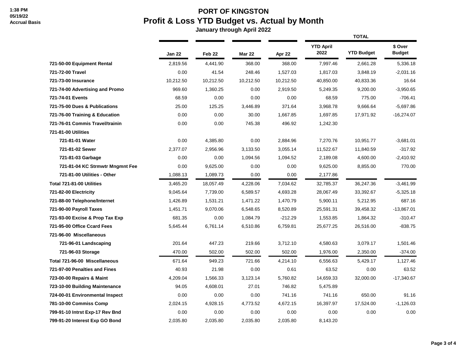## **PORT OF KINGSTON Profit & Loss YTD Budget vs. Actual by Month**

|                                 |               |                   |               |           |                          | <b>TOTAL</b>      |                          |  |  |
|---------------------------------|---------------|-------------------|---------------|-----------|--------------------------|-------------------|--------------------------|--|--|
|                                 | <b>Jan 22</b> | Feb <sub>22</sub> | <b>Mar 22</b> | Apr 22    | <b>YTD April</b><br>2022 | <b>YTD Budget</b> | \$ Over<br><b>Budget</b> |  |  |
| 721-50-00 Equipment Rental      | 2,819.56      | 4,441.90          | 368.00        | 368.00    | 7,997.46                 | 2,661.28          | 5,336.18                 |  |  |
| 721-72-00 Travel                | 0.00          | 41.54             | 248.46        | 1,527.03  | 1,817.03                 | 3,848.19          | $-2,031.16$              |  |  |
| 721-73-00 Insurance             | 10,212.50     | 10,212.50         | 10,212.50     | 10,212.50 | 40,850.00                | 40,833.36         | 16.64                    |  |  |
| 721-74-00 Advertising and Promo | 969.60        | 1,360.25          | 0.00          | 2,919.50  | 5,249.35                 | 9,200.00          | $-3,950.65$              |  |  |
| 721-74-01 Events                | 68.59         | 0.00              | 0.00          | 0.00      | 68.59                    | 775.00            | $-706.41$                |  |  |
| 721-75-00 Dues & Publications   | 25.00         | 125.25            | 3,446.89      | 371.64    | 3,968.78                 | 9,666.64          | $-5,697.86$              |  |  |
| 721-76-00 Training & Education  | 0.00          | 0.00              | 30.00         | 1,667.85  | 1,697.85                 | 17,971.92         | $-16,274.07$             |  |  |
| 721-76-01 Commis Travel/trainin | 0.00          | 0.00              | 745.38        | 496.92    | 1,242.30                 |                   |                          |  |  |
| <b>721-81-00 Utilities</b>      |               |                   |               |           |                          |                   |                          |  |  |
| 721-81-01 Water                 | 0.00          | 4,385.80          | 0.00          | 2,884.96  | 7,270.76                 | 10,951.77         | $-3,681.01$              |  |  |
| 721-81-02 Sewer                 | 2,377.07      | 2,956.96          | 3,133.50      | 3,055.14  | 11,522.67                | 11,840.59         | $-317.92$                |  |  |
| 721-81-03 Garbage               | 0.00          | 0.00              | 1,094.56      | 1,094.52  | 2,189.08                 | 4,600.00          | $-2,410.92$              |  |  |
| 721-81-04 KC Strmwtr Mngmnt Fee | 0.00          | 9,625.00          | 0.00          | 0.00      | 9,625.00                 | 8,855.00          | 770.00                   |  |  |
| 721-81-00 Utilities - Other     | 1,088.13      | 1,089.73          | 0.00          | 0.00      | 2,177.86                 |                   |                          |  |  |
| Total 721-81-00 Utilities       | 3,465.20      | 18,057.49         | 4,228.06      | 7,034.62  | 32,785.37                | 36,247.36         | $-3,461.99$              |  |  |
| 721-82-00 Electricity           | 9,045.64      | 7,739.00          | 6,589.57      | 4,693.28  | 28,067.49                | 33,392.67         | $-5,325.18$              |  |  |
| 721-88-00 Telephone/Internet    | 1,426.89      | 1,531.21          | 1,471.22      | 1,470.79  | 5,900.11                 | 5,212.95          | 687.16                   |  |  |
| 721-90-00 Payroll Taxes         | 1,451.71      | 9,070.06          | 6,548.65      | 8,520.89  | 25,591.31                | 39,458.32         | $-13,867.01$             |  |  |
| 721-93-00 Excise & Prop Tax Exp | 681.35        | 0.00              | 1,084.79      | $-212.29$ | 1,553.85                 | 1,864.32          | $-310.47$                |  |  |
| 721-95-00 Office Ccard Fees     | 5,645.44      | 6,761.14          | 6,510.86      | 6,759.81  | 25,677.25                | 26,516.00         | $-838.75$                |  |  |
| 721-96-00 Miscellaneous         |               |                   |               |           |                          |                   |                          |  |  |
| 721-96-01 Landscaping           | 201.64        | 447.23            | 219.66        | 3,712.10  | 4,580.63                 | 3,079.17          | 1,501.46                 |  |  |
| 721-96-03 Storage               | 470.00        | 502.00            | 502.00        | 502.00    | 1,976.00                 | 2,350.00          | $-374.00$                |  |  |
| Total 721-96-00 Miscellaneous   | 671.64        | 949.23            | 721.66        | 4,214.10  | 6,556.63                 | 5,429.17          | 1,127.46                 |  |  |
| 721-97-00 Penalties and Fines   | 40.93         | 21.98             | 0.00          | 0.61      | 63.52                    | 0.00              | 63.52                    |  |  |
| 723-00-00 Repairs & Maint       | 4,209.04      | 1,566.33          | 3,123.14      | 5,760.82  | 14,659.33                | 32,000.00         | $-17,340.67$             |  |  |
| 723-10-00 Building Maintenance  | 94.05         | 4,608.01          | 27.01         | 746.82    | 5,475.89                 |                   |                          |  |  |
| 724-00-01 Environmental Inspect | 0.00          | 0.00              | 0.00          | 741.16    | 741.16                   | 650.00            | 91.16                    |  |  |
| 781-10-00 Commiss Comp          | 2,024.15      | 4,928.15          | 4,773.52      | 4,672.15  | 16,397.97                | 17,524.00         | $-1,126.03$              |  |  |
| 799-91-10 Intrst Exp-17 Rev Bnd | 0.00          | 0.00              | 0.00          | 0.00      | 0.00                     | 0.00              | 0.00                     |  |  |
| 799-91-20 Interest Exp GO Bond  | 2,035.80      | 2,035.80          | 2,035.80      | 2,035.80  | 8,143.20                 |                   |                          |  |  |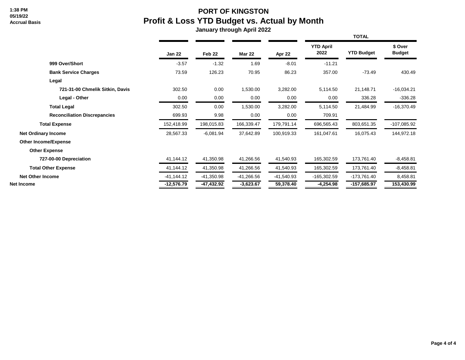## **PORT OF KINGSTON Profit & Loss YTD Budget vs. Actual by Month**

|                                     |               |              |               |              |                          | <b>TOTAL</b>      |                          |
|-------------------------------------|---------------|--------------|---------------|--------------|--------------------------|-------------------|--------------------------|
|                                     | <b>Jan 22</b> | Feb 22       | <b>Mar 22</b> | Apr 22       | <b>YTD April</b><br>2022 | <b>YTD Budget</b> | \$ Over<br><b>Budget</b> |
| 999 Over/Short                      | $-3.57$       | $-1.32$      | 1.69          | $-8.01$      | $-11.21$                 |                   |                          |
| <b>Bank Service Charges</b>         | 73.59         | 126.23       | 70.95         | 86.23        | 357.00                   | $-73.49$          | 430.49                   |
| Legal                               |               |              |               |              |                          |                   |                          |
| 721-31-00 Chmelik Sitkin, Davis     | 302.50        | 0.00         | 1,530.00      | 3,282.00     | 5,114.50                 | 21,148.71         | $-16,034.21$             |
| Legal - Other                       | 0.00          | 0.00         | 0.00          | 0.00         | 0.00                     | 336.28            | $-336.28$                |
| <b>Total Legal</b>                  | 302.50        | 0.00         | 1,530.00      | 3,282.00     | 5,114.50                 | 21,484.99         | $-16,370.49$             |
| <b>Reconciliation Discrepancies</b> | 699.93        | 9.98         | 0.00          | 0.00         | 709.91                   |                   |                          |
| <b>Total Expense</b>                | 152,418.99    | 198,015.83   | 166,339.47    | 179,791.14   | 696,565.43               | 803,651.35        | $-107,085.92$            |
| <b>Net Ordinary Income</b>          | 28,567.33     | $-6,081.94$  | 37,642.89     | 100,919.33   | 161,047.61               | 16,075.43         | 144,972.18               |
| <b>Other Income/Expense</b>         |               |              |               |              |                          |                   |                          |
| <b>Other Expense</b>                |               |              |               |              |                          |                   |                          |
| 727-00-00 Depreciation              | 41,144.12     | 41,350.98    | 41,266.56     | 41,540.93    | 165,302.59               | 173,761.40        | $-8,458.81$              |
| <b>Total Other Expense</b>          | 41,144.12     | 41,350.98    | 41,266.56     | 41,540.93    | 165,302.59               | 173,761.40        | $-8,458.81$              |
| <b>Net Other Income</b>             | $-41,144.12$  | -41,350.98   | -41,266.56    | $-41,540.93$ | $-165,302.59$            | -173,761.40       | 8,458.81                 |
| Net Income                          | $-12,576.79$  | $-47,432.92$ | $-3,623.67$   | 59,378.40    | $-4,254.98$              | $-157,685.97$     | 153,430.99               |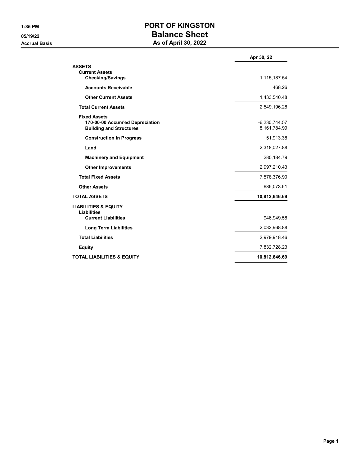## **1:35 PM PORT OF KINGSTON 05/19/22 Balance Sheet Accrual Basis As of April 30, 2022**

|                                                                                          | Apr 30, 22                      |
|------------------------------------------------------------------------------------------|---------------------------------|
| <b>ASSETS</b><br><b>Current Assets</b>                                                   | 1,115,187.54                    |
| <b>Checking/Savings</b>                                                                  |                                 |
| <b>Accounts Receivable</b>                                                               | 468.26                          |
| <b>Other Current Assets</b>                                                              | 1,433,540.48                    |
| <b>Total Current Assets</b>                                                              | 2,549,196.28                    |
| <b>Fixed Assets</b><br>170-00-00 Accum'ed Depreciation<br><b>Building and Structures</b> | $-6.230.744.57$<br>8,161,784.99 |
| <b>Construction in Progress</b>                                                          | 51,913.38                       |
| Land                                                                                     | 2,318,027.88                    |
| <b>Machinery and Equipment</b>                                                           | 280, 184. 79                    |
| <b>Other Improvements</b>                                                                | 2,997,210.43                    |
| <b>Total Fixed Assets</b>                                                                | 7,578,376.90                    |
| <b>Other Assets</b>                                                                      | 685,073.51                      |
| <b>TOTAL ASSETS</b>                                                                      | 10,812,646.69                   |
| <b>LIABILITIES &amp; EQUITY</b><br><b>Liabilities</b>                                    |                                 |
| <b>Current Liabilities</b>                                                               | 946,949.58                      |
| <b>Long Term Liabilities</b>                                                             | 2,032,968.88                    |
| <b>Total Liabilities</b>                                                                 | 2,979,918.46                    |
| <b>Equity</b>                                                                            | 7,832,728.23                    |
| <b>TOTAL LIABILITIES &amp; EQUITY</b>                                                    | 10,812,646.69                   |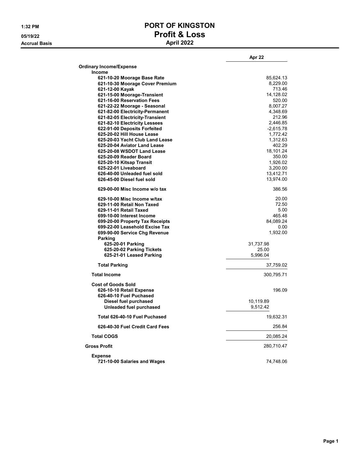**Accrual Basis** 

# **1:32 PM PORT OF KINGSTON 05/19/22 Profit & Loss**

|                                                       | Apr 22     |
|-------------------------------------------------------|------------|
| <b>Ordinary Income/Expense</b>                        |            |
| <b>Income</b>                                         |            |
| 621-10-20 Moorage Base Rate                           | 85,624.13  |
| 621-10-30 Moorage Cover Premium                       | 8,229.00   |
| 621-12-00 Kayak                                       | 713.46     |
| 621-15-00 Moorage-Transient                           | 14,128.02  |
| 621-16-00 Reservation Fees                            | 520.00     |
| 621-22-22 Moorage - Seasonal                          | 8,007.27   |
| 621-82-00 Electricity-Permanent                       | 4,348.69   |
| 621-82-05 Electricity-Transient                       | 212.96     |
| 621-82-10 Electricity Lessees                         | 2,446.85   |
| 622-91-00 Deposits Forfeited                          | -2,615.78  |
| 625-20-02 Hill House Lease                            | 1,772.42   |
| 625-20-03 Yacht Club Land Lease                       | 1,312.63   |
| 625-20-04 Aviator Land Lease                          | 402.29     |
| 625-20-08 WSDOT Land Lease                            | 18,101.24  |
| 625-20-09 Reader Board                                | 350.00     |
| 625-20-10 Kitsap Transit                              | 1,926.02   |
| 625-22-01 Liveaboard                                  | 3,200.00   |
| 626-40-00 Unleaded fuel sold                          | 13,412.71  |
| 626-45-00 Diesel fuel sold                            | 13,974.00  |
| 629-00-00 Misc Income w/o tax                         | 386.56     |
|                                                       |            |
| 629-10-00 Misc Income w/tax                           | 20.00      |
| 629-11-00 Retail Non Taxed                            | 72.50      |
| 629-11-01 Retail Taxed                                | 5.00       |
| 699-10-00 Interest Income                             | 465.48     |
| 699-20-00 Property Tax Receipts                       | 84,089.24  |
| 699-22-00 Leasehold Excise Tax                        | 0.00       |
| 699-90-00 Service Chg Revenue                         | 1,932.00   |
| Parking                                               |            |
| 625-20-01 Parking                                     | 31,737.98  |
| 625-20-02 Parking Tickets                             | 25.00      |
| 625-21-01 Leased Parking                              | 5,996.04   |
| <b>Total Parking</b>                                  | 37,759.02  |
| <b>Total Income</b>                                   | 300,795.71 |
| <b>Cost of Goods Sold</b><br>626-10-10 Retail Expense | 196.09     |
| 626-40-10 Fuel Puchased                               |            |
| Diesel fuel purchased                                 | 10,119.89  |
|                                                       | 9,512.42   |
| Unleaded fuel purchased                               |            |
| Total 626-40-10 Fuel Puchased                         | 19,632.31  |
| 626-40-30 Fuel Credit Card Fees                       | 256.84     |
| <b>Total COGS</b>                                     | 20,085.24  |
| <b>Gross Profit</b>                                   | 280,710.47 |
| <b>Expense</b>                                        |            |
| 721-10-00 Salaries and Wages                          | 74,748.06  |
|                                                       |            |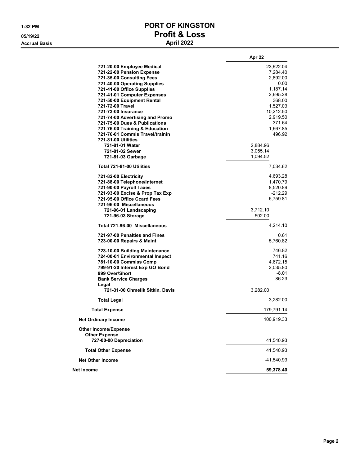**Accrual Basis** 

# **1:32 PM PORT OF KINGSTON 05/19/22 Profit & Loss**

|                                                                                                                                                                                                                                                                                                                                                                                                                           | Apr 22                                                                                                                                           |
|---------------------------------------------------------------------------------------------------------------------------------------------------------------------------------------------------------------------------------------------------------------------------------------------------------------------------------------------------------------------------------------------------------------------------|--------------------------------------------------------------------------------------------------------------------------------------------------|
| 721-20-00 Employee Medical<br>721-22-00 Pension Expense<br>721-35-00 Consulting Fees<br>721-40-00 Operating Supplies<br>721-41-00 Office Supplies<br>721-41-01 Computer Expenses<br>721-50-00 Equipment Rental<br>721-72-00 Travel<br>721-73-00 Insurance<br>721-74-00 Advertising and Promo<br>721-75-00 Dues & Publications<br>721-76-00 Training & Education<br>721-76-01 Commis Travel/trainin<br>721-81-00 Utilities | 23,622.04<br>7,284.40<br>2,892.00<br>0.00<br>1,187.14<br>2,695.28<br>368.00<br>1,527.03<br>10,212.50<br>2,919.50<br>371.64<br>1,667.85<br>496.92 |
| 721-81-01 Water<br>721-81-02 Sewer<br>721-81-03 Garbage                                                                                                                                                                                                                                                                                                                                                                   | 2,884.96<br>3,055.14<br>1,094.52                                                                                                                 |
| Total 721-81-00 Utilities                                                                                                                                                                                                                                                                                                                                                                                                 | 7,034.62                                                                                                                                         |
| 721-82-00 Electricity<br>721-88-00 Telephone/Internet<br>721-90-00 Payroll Taxes<br>721-93-00 Excise & Prop Tax Exp<br>721-95-00 Office Ccard Fees<br>721-96-00 Miscellaneous                                                                                                                                                                                                                                             | 4,693.28<br>1,470.79<br>8,520.89<br>$-212.29$<br>6,759.81                                                                                        |
| 721-96-01 Landscaping<br>721-96-03 Storage                                                                                                                                                                                                                                                                                                                                                                                | 3,712.10<br>502.00                                                                                                                               |
| Total 721-96-00 Miscellaneous                                                                                                                                                                                                                                                                                                                                                                                             | 4,214.10                                                                                                                                         |
| 721-97-00 Penalties and Fines<br>723-00-00 Repairs & Maint                                                                                                                                                                                                                                                                                                                                                                | 0.61<br>5,760.82                                                                                                                                 |
| 723-10-00 Building Maintenance<br>724-00-01 Environmental Inspect<br>781-10-00 Commiss Comp<br>799-91-20 Interest Exp GO Bond<br>999 Over/Short<br><b>Bank Service Charges</b>                                                                                                                                                                                                                                            | 746.82<br>741.16<br>4,672.15<br>2,035.80<br>$-8.01$<br>86.23                                                                                     |
| Legal<br>721-31-00 Chmelik Sitkin, Davis                                                                                                                                                                                                                                                                                                                                                                                  | 3,282.00                                                                                                                                         |
| <b>Total Legal</b>                                                                                                                                                                                                                                                                                                                                                                                                        | 3,282.00                                                                                                                                         |
| <b>Total Expense</b>                                                                                                                                                                                                                                                                                                                                                                                                      | 179,791.14                                                                                                                                       |
| <b>Net Ordinary Income</b>                                                                                                                                                                                                                                                                                                                                                                                                | 100,919.33                                                                                                                                       |
| <b>Other Income/Expense</b><br><b>Other Expense</b><br>727-00-00 Depreciation                                                                                                                                                                                                                                                                                                                                             | 41,540.93                                                                                                                                        |
| <b>Total Other Expense</b>                                                                                                                                                                                                                                                                                                                                                                                                | 41,540.93                                                                                                                                        |
| <b>Net Other Income</b>                                                                                                                                                                                                                                                                                                                                                                                                   | -41,540.93                                                                                                                                       |
| Net Income                                                                                                                                                                                                                                                                                                                                                                                                                | 59,378.40                                                                                                                                        |
|                                                                                                                                                                                                                                                                                                                                                                                                                           |                                                                                                                                                  |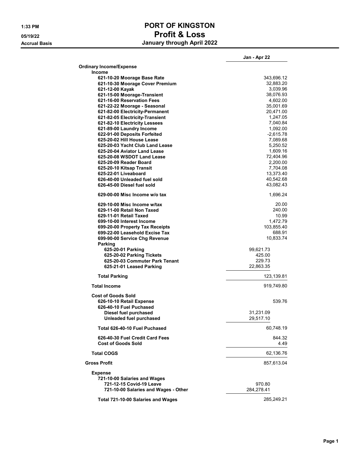## **1:33 PM PORT OF KINGSTON 05/19/22 Profit & Loss Accrual Basis January through April 2022**

|                                                       | Jan - Apr 22 |
|-------------------------------------------------------|--------------|
| <b>Ordinary Income/Expense</b>                        |              |
| <b>Income</b>                                         |              |
| 621-10-20 Moorage Base Rate                           | 343,696.12   |
| 621-10-30 Moorage Cover Premium                       | 32,883.20    |
| 621-12-00 Kayak                                       | 3,039.96     |
| 621-15-00 Moorage-Transient                           | 38,076.93    |
| 621-16-00 Reservation Fees                            | 4,602.00     |
| 621-22-22 Moorage - Seasonal                          | 35,001.69    |
| 621-82-00 Electricity-Permanent                       | 20,471.00    |
| 621-82-05 Electricity-Transient                       | 1,247.05     |
| 621-82-10 Electricity Lessees                         | 7,040.84     |
| 621-89-00 Laundry Income                              | 1,092.00     |
| 622-91-00 Deposits Forfeited                          | $-2,615.78$  |
| 625-20-02 Hill House Lease                            | 7,089.68     |
| 625-20-03 Yacht Club Land Lease                       | 5,250.52     |
| 625-20-04 Aviator Land Lease                          | 1,609.16     |
| 625-20-08 WSDOT Land Lease                            | 72,404.96    |
| 625-20-09 Reader Board                                | 2,200.00     |
| 625-20-10 Kitsap Transit                              | 7,704.08     |
| 625-22-01 Liveaboard                                  | 13,373.40    |
| 626-40-00 Unleaded fuel sold                          | 40.542.68    |
| 626-45-00 Diesel fuel sold                            | 43,082.43    |
| 629-00-00 Misc Income w/o tax                         | 1,696.24     |
| 629-10-00 Misc Income w/tax                           | 20.00        |
| 629-11-00 Retail Non Taxed                            | 240.00       |
| 629-11-01 Retail Taxed                                | 10.99        |
| 699-10-00 Interest Income                             | 1,472.79     |
| 699-20-00 Property Tax Receipts                       | 103,855.40   |
| 699-22-00 Leasehold Excise Tax                        | 688.91       |
| 699-90-00 Service Chg Revenue                         | 10,833.74    |
| Parking                                               |              |
| 625-20-01 Parking                                     | 99,621.73    |
| 625-20-02 Parking Tickets                             | 425.00       |
| 625-20-03 Commuter Park Tenant                        | 229.73       |
| 625-21-01 Leased Parking                              | 22,863.35    |
| <b>Total Parking</b>                                  | 123,139.81   |
| <b>Total Income</b>                                   | 919,749.80   |
| <b>Cost of Goods Sold</b><br>626-10-10 Retail Expense | 539.76       |
| 626-40-10 Fuel Puchased                               |              |
| Diesel fuel purchased                                 | 31,231.09    |
| Unleaded fuel purchased                               | 29,517.10    |
| Total 626-40-10 Fuel Puchased                         | 60,748.19    |
| 626-40-30 Fuel Credit Card Fees                       | 844.32       |
| <b>Cost of Goods Sold</b>                             | 4.49         |
| <b>Total COGS</b>                                     | 62,136.76    |
| <b>Gross Profit</b>                                   | 857,613.04   |
| <b>Expense</b>                                        |              |
| 721-10-00 Salaries and Wages                          |              |
| 721-12-15 Covid-19 Leave                              | 970.80       |
| 721-10-00 Salaries and Wages - Other                  | 284,278.41   |
|                                                       |              |
| Total 721-10-00 Salaries and Wages                    | 285,249.21   |